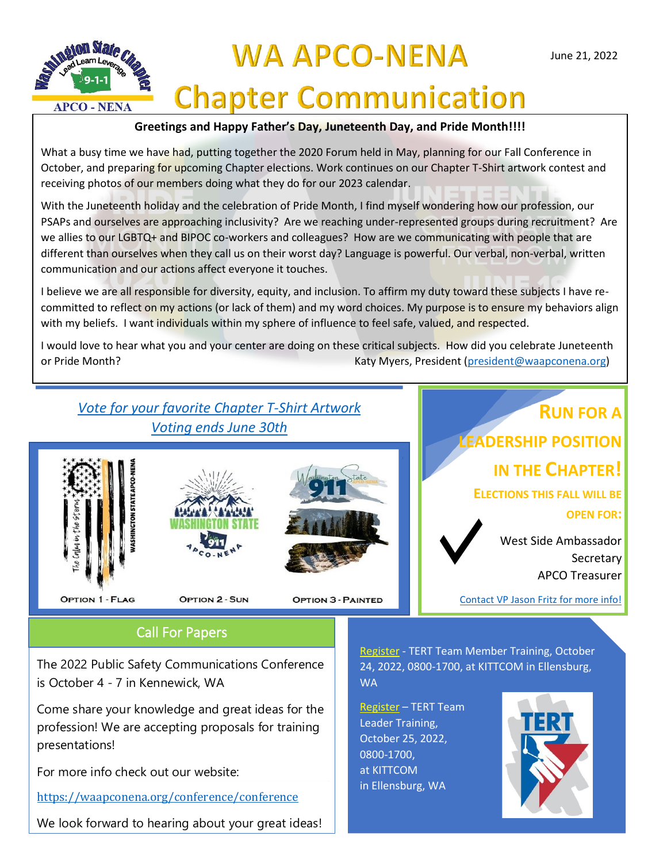

## **WA APCO-NENA Chapter Communication**

### **Greetings and Happy Father's Day, Juneteenth Day, and Pride Month!!!!**

What a busy time we have had, putting together the 2020 Forum held in May, planning for our Fall Conference in October, and preparing for upcoming Chapter elections. Work continues on our Chapter T-Shirt artwork contest and receiving photos of our members doing what they do for our 2023 calendar.

With the Juneteenth holiday and the celebration of Pride Month, I find myself wondering how our profession, our PSAPs and ourselves are approaching inclusivity? Are we reaching under-represented groups during recruitment? Are we allies to our LGBTQ+ and BIPOC co-workers and colleagues? How are we communicating with people that are different than ourselves when they call us on their worst day? Language is powerful. Our verbal, non-verbal, written communication and our actions affect everyone it touches.

I believe we are all responsible for diversity, equity, and inclusion. To affirm my duty toward these subjects I have recommitted to reflect on my actions (or lack of them) and my word choices. My purpose is to ensure my behaviors align with my beliefs. I want individuals within my sphere of influence to feel safe, valued, and respected.

I would love to hear what you and your center are doing on these critical subjects. How did you celebrate Juneteenth or Pride Month? Katy Myers, President [\(president@waapconena.org\)](mailto:president@waapconena.org)